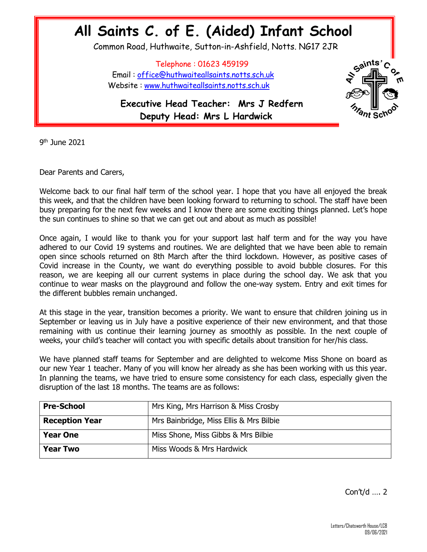## **All Saints C. of E. (Aided) Infant School**

Common Road, Huthwaite, Sutton-in-Ashfield, Notts. NG17 2JR

 Telephone : 01623 459199 Email : [office@huthwaiteallsaints.notts.sch.uk](mailto:office@huthwaiteallsaints.notts.sch.uk) Website : [www.huthwaiteallsaints.notts.sch.uk](http://www.huthwaiteallsaints.notts.sch.uk/)

 $5^{2}$ <sup>ints</sup>

 **Executive Head Teacher: Mrs J Redfern Deputy Head: Mrs L Hardwick**

9 th June 2021

Dear Parents and Carers,

Welcome back to our final half term of the school year. I hope that you have all enjoyed the break this week, and that the children have been looking forward to returning to school. The staff have been busy preparing for the next few weeks and I know there are some exciting things planned. Let's hope the sun continues to shine so that we can get out and about as much as possible!

Once again, I would like to thank you for your support last half term and for the way you have adhered to our Covid 19 systems and routines. We are delighted that we have been able to remain open since schools returned on 8th March after the third lockdown. However, as positive cases of Covid increase in the County, we want do everything possible to avoid bubble closures. For this reason, we are keeping all our current systems in place during the school day. We ask that you continue to wear masks on the playground and follow the one-way system. Entry and exit times for the different bubbles remain unchanged.

At this stage in the year, transition becomes a priority. We want to ensure that children joining us in September or leaving us in July have a positive experience of their new environment, and that those remaining with us continue their learning journey as smoothly as possible. In the next couple of weeks, your child's teacher will contact you with specific details about transition for her/his class.

We have planned staff teams for September and are delighted to welcome Miss Shone on board as our new Year 1 teacher. Many of you will know her already as she has been working with us this year. In planning the teams, we have tried to ensure some consistency for each class, especially given the disruption of the last 18 months. The teams are as follows:

| <b>Pre-School</b>     | Mrs King, Mrs Harrison & Miss Crosby    |
|-----------------------|-----------------------------------------|
| <b>Reception Year</b> | Mrs Bainbridge, Miss Ellis & Mrs Bilbie |
| <b>Year One</b>       | Miss Shone, Miss Gibbs & Mrs Bilbie     |
| <b>Year Two</b>       | Miss Woods & Mrs Hardwick               |

Con't/d …. 2